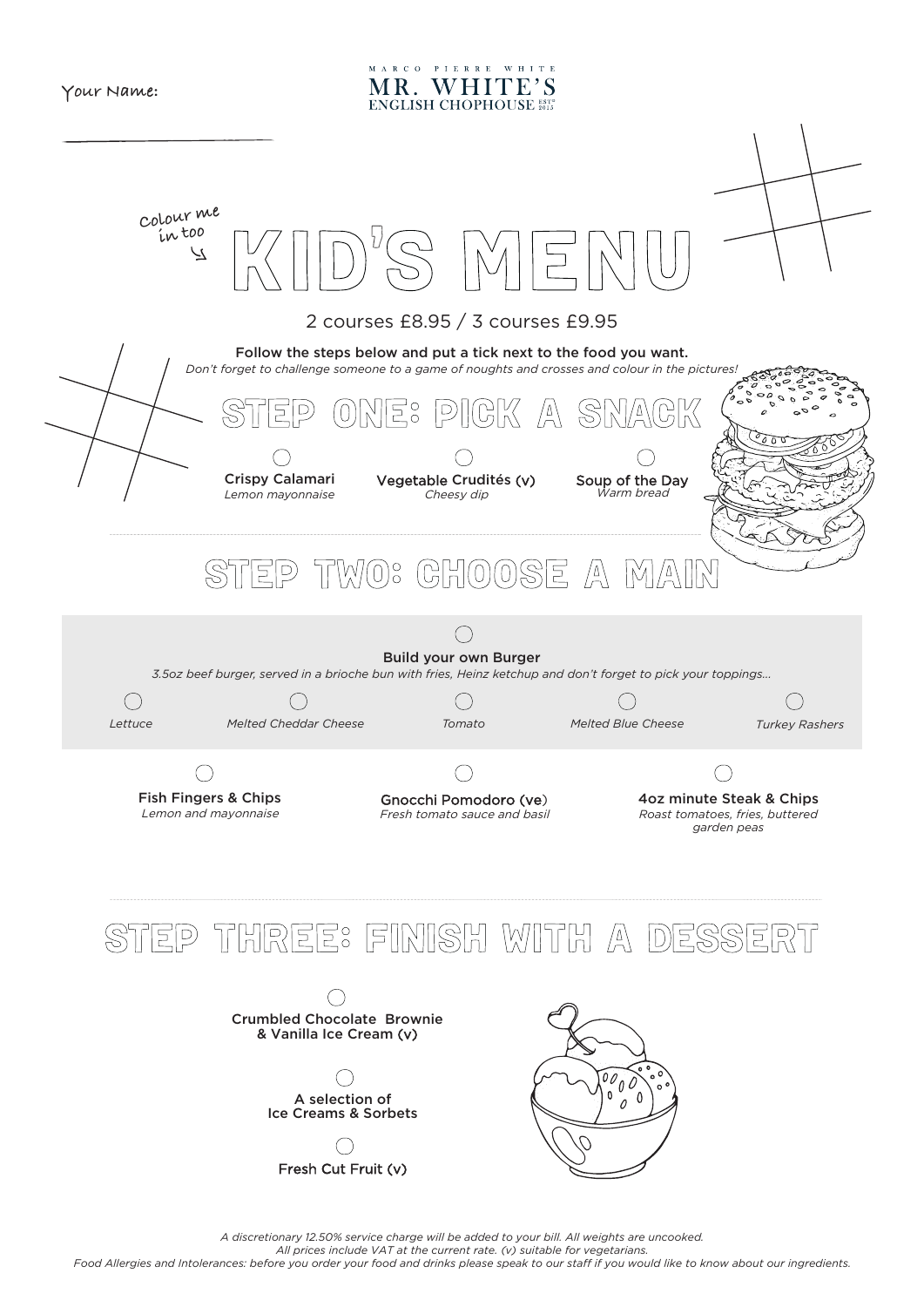

MARCO PIERRE WHITE